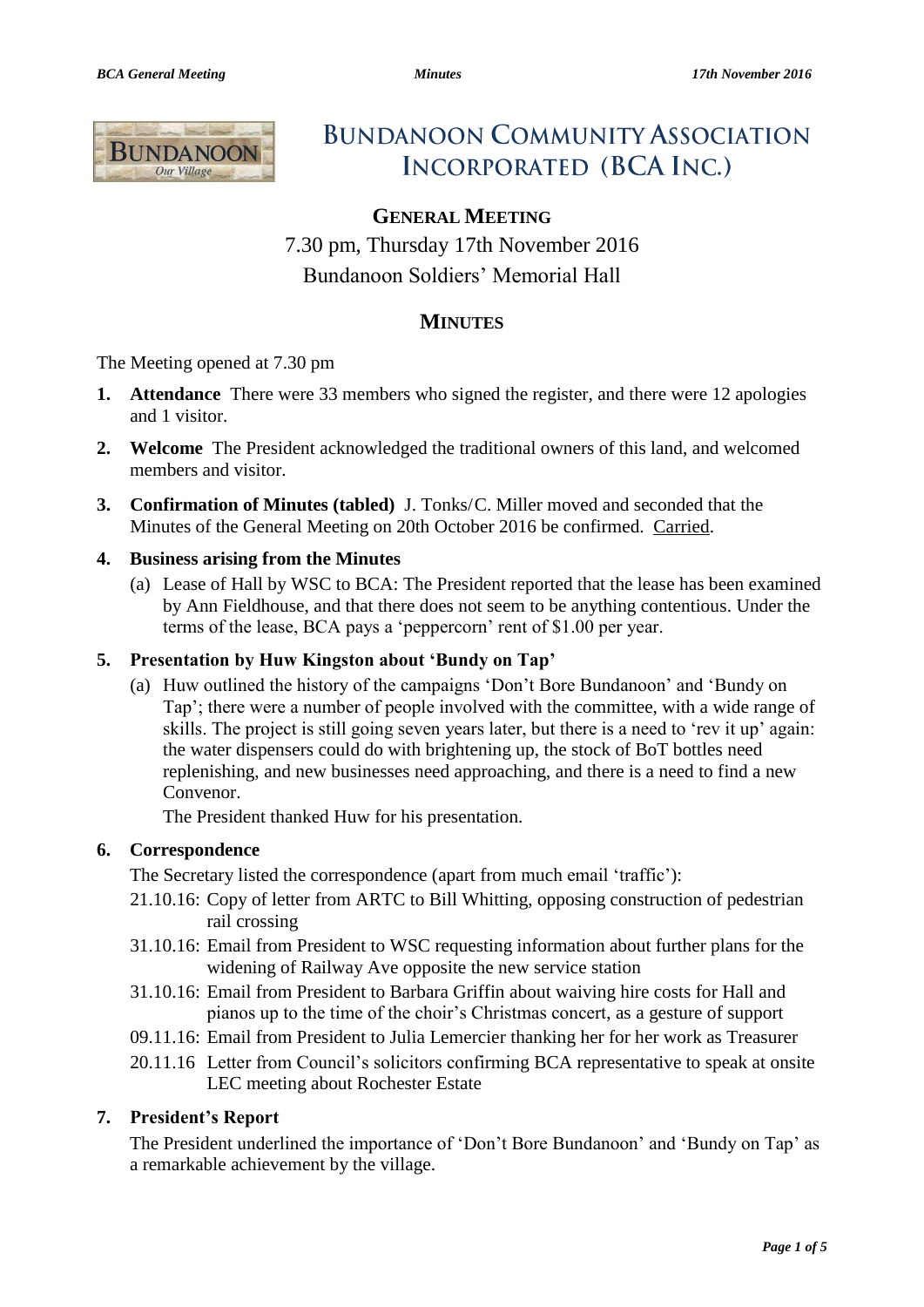

# **BUNDANOON COMMUNITY ASSOCIATION INCORPORATED (BCA INC.)**

## **GENERAL MEETING**

7.30 pm, Thursday 17th November 2016 Bundanoon Soldiers' Memorial Hall

## **MINUTES**

The Meeting opened at 7.30 pm

- **1. Attendance** There were 33 members who signed the register, and there were 12 apologies and 1 visitor.
- **2. Welcome** The President acknowledged the traditional owners of this land, and welcomed members and visitor.
- **3. Confirmation of Minutes (tabled)** J. Tonks/C. Miller moved and seconded that the Minutes of the General Meeting on 20th October 2016 be confirmed. Carried.

## **4. Business arising from the Minutes**

(a) Lease of Hall by WSC to BCA: The President reported that the lease has been examined by Ann Fieldhouse, and that there does not seem to be anything contentious. Under the terms of the lease, BCA pays a 'peppercorn' rent of \$1.00 per year.

## **5. Presentation by Huw Kingston about 'Bundy on Tap'**

(a) Huw outlined the history of the campaigns 'Don't Bore Bundanoon' and 'Bundy on Tap'; there were a number of people involved with the committee, with a wide range of skills. The project is still going seven years later, but there is a need to 'rev it up' again: the water dispensers could do with brightening up, the stock of BoT bottles need replenishing, and new businesses need approaching, and there is a need to find a new Convenor.

The President thanked Huw for his presentation.

## **6. Correspondence**

The Secretary listed the correspondence (apart from much email 'traffic'):

- 21.10.16: Copy of letter from ARTC to Bill Whitting, opposing construction of pedestrian rail crossing
- 31.10.16: Email from President to WSC requesting information about further plans for the widening of Railway Ave opposite the new service station
- 31.10.16: Email from President to Barbara Griffin about waiving hire costs for Hall and pianos up to the time of the choir's Christmas concert, as a gesture of support
- 09.11.16: Email from President to Julia Lemercier thanking her for her work as Treasurer
- 20.11.16 Letter from Council's solicitors confirming BCA representative to speak at onsite LEC meeting about Rochester Estate

## **7. President's Report**

The President underlined the importance of 'Don't Bore Bundanoon' and 'Bundy on Tap' as a remarkable achievement by the village.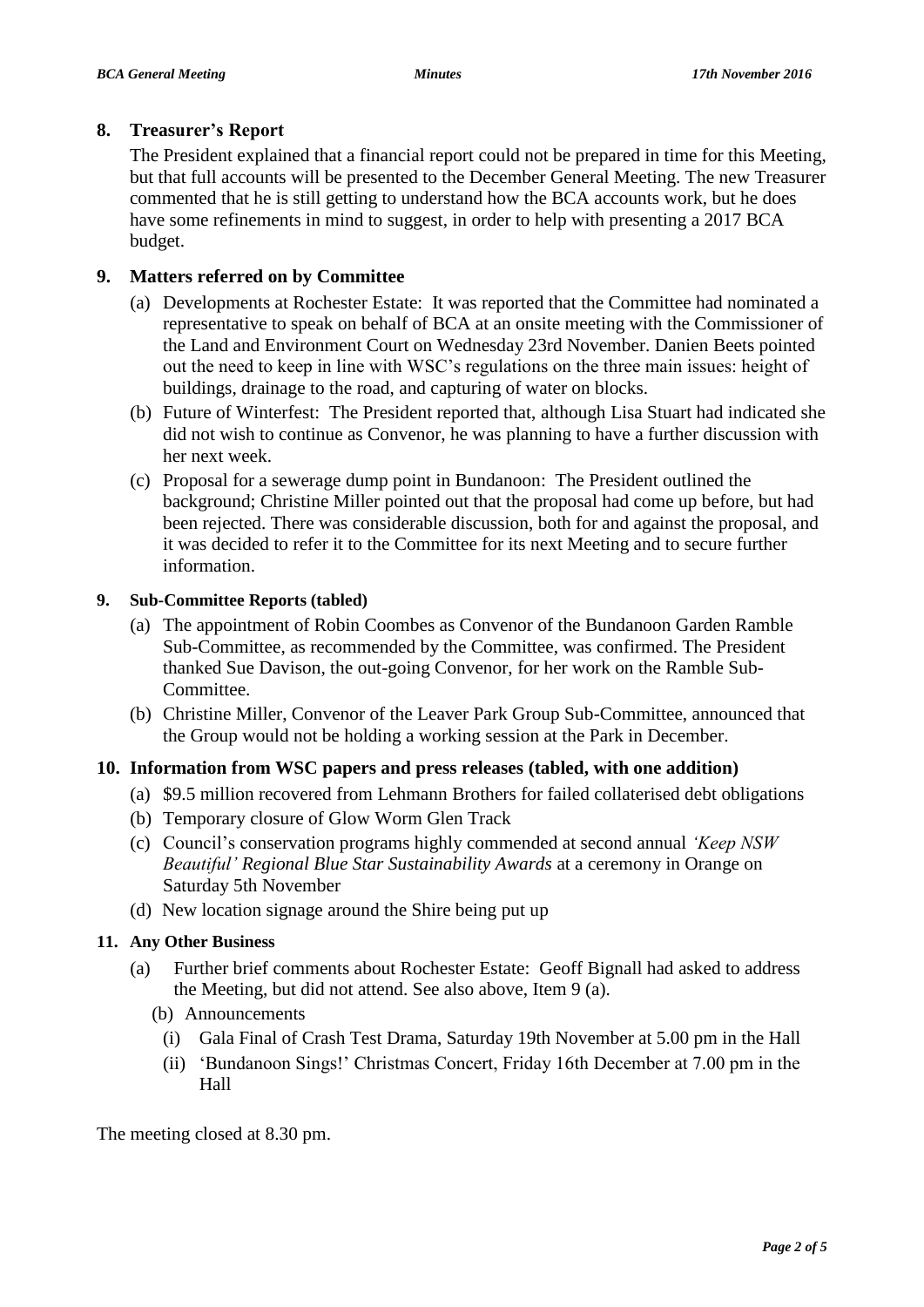## **8. Treasurer's Report**

The President explained that a financial report could not be prepared in time for this Meeting, but that full accounts will be presented to the December General Meeting. The new Treasurer commented that he is still getting to understand how the BCA accounts work, but he does have some refinements in mind to suggest, in order to help with presenting a 2017 BCA budget.

## **9. Matters referred on by Committee**

- (a) Developments at Rochester Estate: It was reported that the Committee had nominated a representative to speak on behalf of BCA at an onsite meeting with the Commissioner of the Land and Environment Court on Wednesday 23rd November. Danien Beets pointed out the need to keep in line with WSC's regulations on the three main issues: height of buildings, drainage to the road, and capturing of water on blocks.
- (b) Future of Winterfest: The President reported that, although Lisa Stuart had indicated she did not wish to continue as Convenor, he was planning to have a further discussion with her next week.
- (c) Proposal for a sewerage dump point in Bundanoon: The President outlined the background; Christine Miller pointed out that the proposal had come up before, but had been rejected. There was considerable discussion, both for and against the proposal, and it was decided to refer it to the Committee for its next Meeting and to secure further information.

## **9. Sub-Committee Reports (tabled)**

- (a) The appointment of Robin Coombes as Convenor of the Bundanoon Garden Ramble Sub-Committee, as recommended by the Committee, was confirmed. The President thanked Sue Davison, the out-going Convenor, for her work on the Ramble Sub-Committee.
- (b) Christine Miller, Convenor of the Leaver Park Group Sub-Committee, announced that the Group would not be holding a working session at the Park in December.

## **10. Information from WSC papers and press releases (tabled, with one addition)**

- (a) \$9.5 million recovered from Lehmann Brothers for failed collaterised debt obligations
- (b) Temporary closure of Glow Worm Glen Track
- (c) Council's conservation programs highly commended at second annual *'Keep NSW Beautiful' Regional Blue Star Sustainability Awards* at a ceremony in Orange on Saturday 5th November
- (d) New location signage around the Shire being put up

## **11. Any Other Business**

- (a) Further brief comments about Rochester Estate: Geoff Bignall had asked to address the Meeting, but did not attend. See also above, Item 9 (a).
	- (b) Announcements
		- (i) Gala Final of Crash Test Drama, Saturday 19th November at 5.00 pm in the Hall
		- (ii) 'Bundanoon Sings!' Christmas Concert, Friday 16th December at 7.00 pm in the Hall

The meeting closed at 8.30 pm.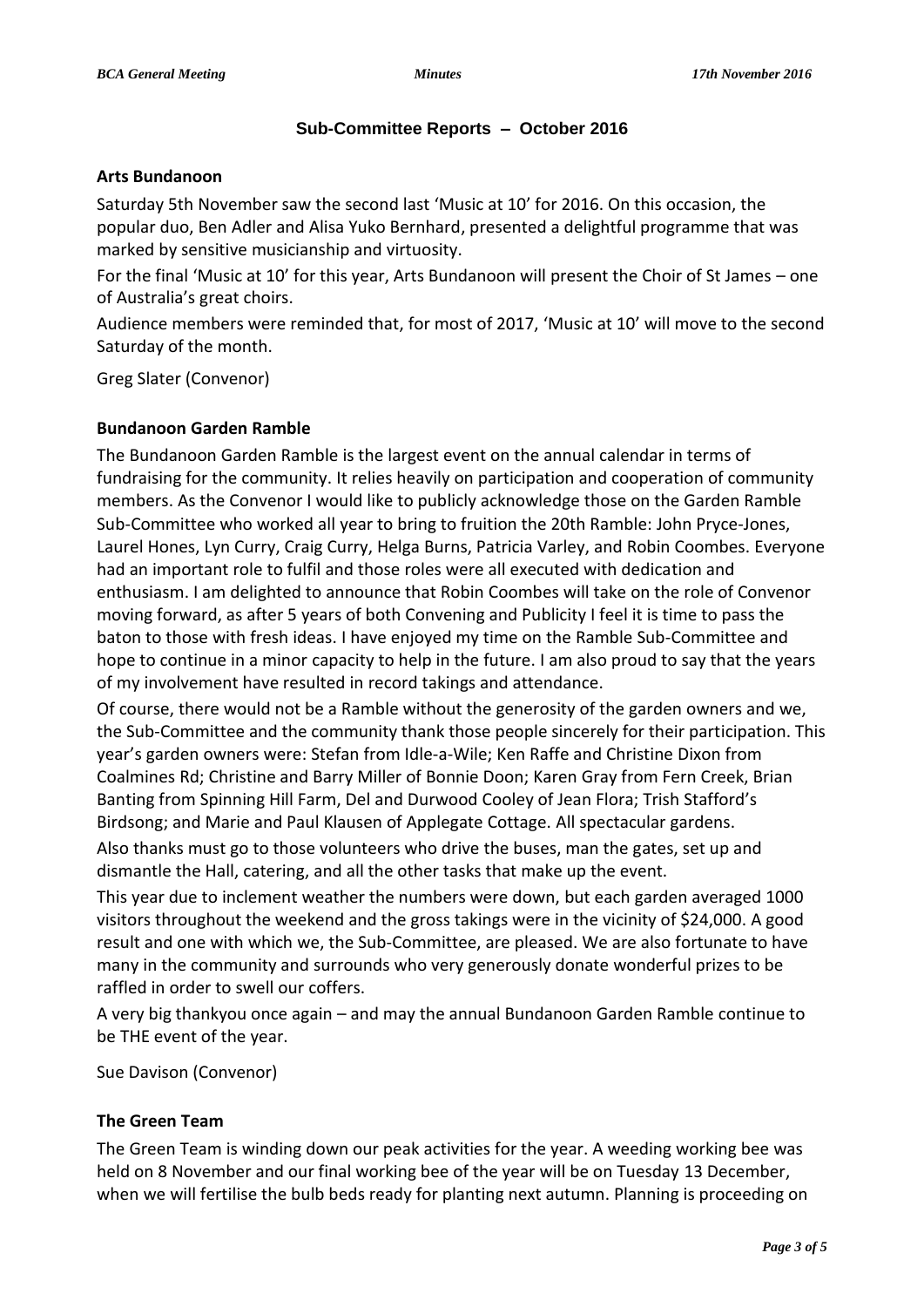## **Sub-Committee Reports – October 2016**

#### **Arts Bundanoon**

Saturday 5th November saw the second last 'Music at 10' for 2016. On this occasion, the popular duo, Ben Adler and Alisa Yuko Bernhard, presented a delightful programme that was marked by sensitive musicianship and virtuosity.

For the final 'Music at 10' for this year, Arts Bundanoon will present the Choir of St James – one of Australia's great choirs.

Audience members were reminded that, for most of 2017, 'Music at 10' will move to the second Saturday of the month.

Greg Slater (Convenor)

## **Bundanoon Garden Ramble**

The Bundanoon Garden Ramble is the largest event on the annual calendar in terms of fundraising for the community. It relies heavily on participation and cooperation of community members. As the Convenor I would like to publicly acknowledge those on the Garden Ramble Sub-Committee who worked all year to bring to fruition the 20th Ramble: John Pryce-Jones, Laurel Hones, Lyn Curry, Craig Curry, Helga Burns, Patricia Varley, and Robin Coombes. Everyone had an important role to fulfil and those roles were all executed with dedication and enthusiasm. I am delighted to announce that Robin Coombes will take on the role of Convenor moving forward, as after 5 years of both Convening and Publicity I feel it is time to pass the baton to those with fresh ideas. I have enjoyed my time on the Ramble Sub-Committee and hope to continue in a minor capacity to help in the future. I am also proud to say that the years of my involvement have resulted in record takings and attendance.

Of course, there would not be a Ramble without the generosity of the garden owners and we, the Sub-Committee and the community thank those people sincerely for their participation. This year's garden owners were: Stefan from Idle-a-Wile; Ken Raffe and Christine Dixon from Coalmines Rd; Christine and Barry Miller of Bonnie Doon; Karen Gray from Fern Creek, Brian Banting from Spinning Hill Farm, Del and Durwood Cooley of Jean Flora; Trish Stafford's Birdsong; and Marie and Paul Klausen of Applegate Cottage. All spectacular gardens.

Also thanks must go to those volunteers who drive the buses, man the gates, set up and dismantle the Hall, catering, and all the other tasks that make up the event.

This year due to inclement weather the numbers were down, but each garden averaged 1000 visitors throughout the weekend and the gross takings were in the vicinity of \$24,000. A good result and one with which we, the Sub-Committee, are pleased. We are also fortunate to have many in the community and surrounds who very generously donate wonderful prizes to be raffled in order to swell our coffers.

A very big thankyou once again – and may the annual Bundanoon Garden Ramble continue to be THE event of the year.

Sue Davison (Convenor)

## **The Green Team**

The Green Team is winding down our peak activities for the year. A weeding working bee was held on 8 November and our final working bee of the year will be on Tuesday 13 December, when we will fertilise the bulb beds ready for planting next autumn. Planning is proceeding on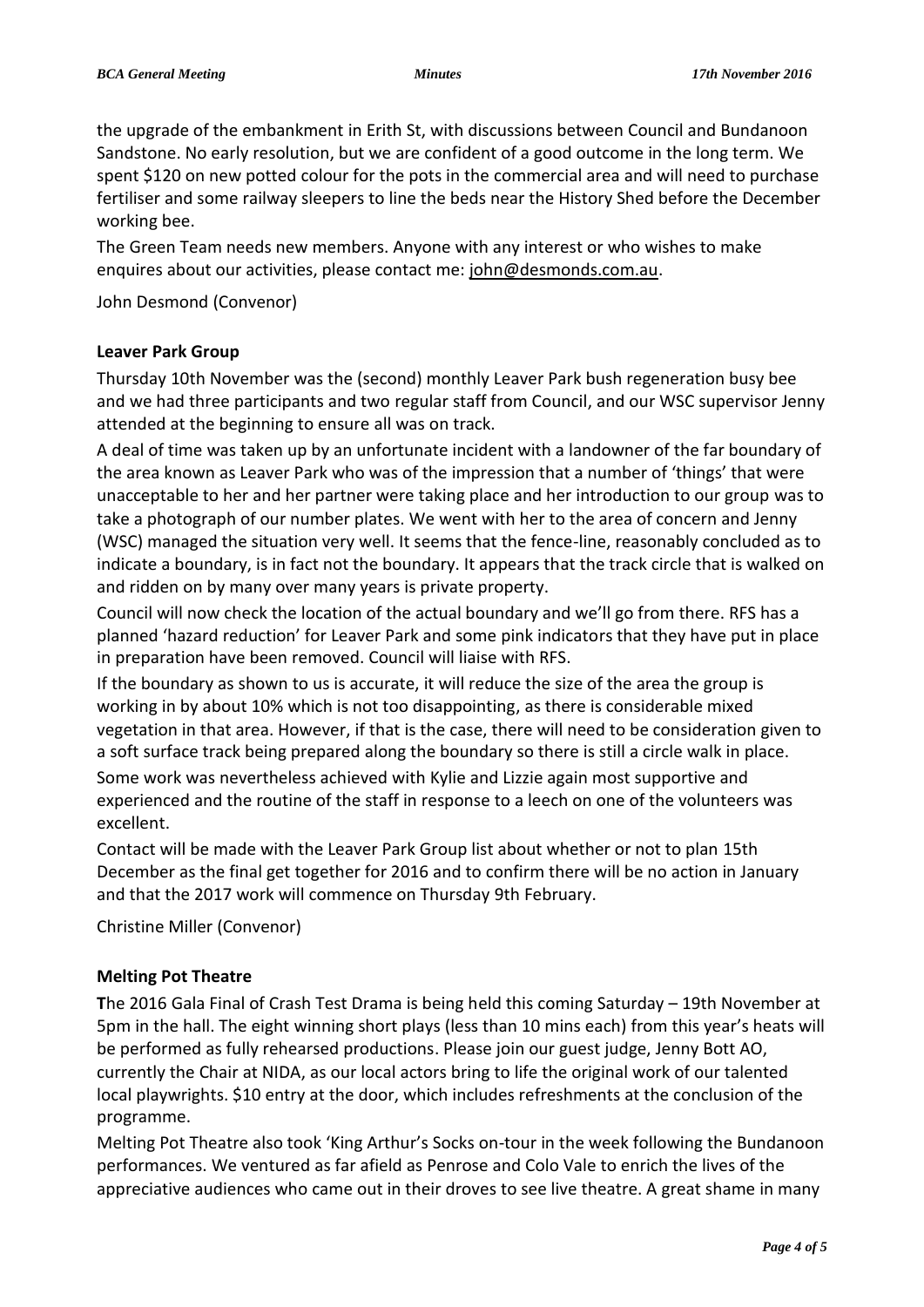the upgrade of the embankment in Erith St, with discussions between Council and Bundanoon Sandstone. No early resolution, but we are confident of a good outcome in the long term. We spent \$120 on new potted colour for the pots in the commercial area and will need to purchase fertiliser and some railway sleepers to line the beds near the History Shed before the December working bee.

The Green Team needs new members. Anyone with any interest or who wishes to make enquires about our activities, please contact me: [john@desmonds.com.au.](mailto:john@desmonds.com.au)

John Desmond (Convenor)

## **Leaver Park Group**

Thursday 10th November was the (second) monthly Leaver Park bush regeneration busy bee and we had three participants and two regular staff from Council, and our WSC supervisor Jenny attended at the beginning to ensure all was on track.

A deal of time was taken up by an unfortunate incident with a landowner of the far boundary of the area known as Leaver Park who was of the impression that a number of 'things' that were unacceptable to her and her partner were taking place and her introduction to our group was to take a photograph of our number plates. We went with her to the area of concern and Jenny (WSC) managed the situation very well. It seems that the fence-line, reasonably concluded as to indicate a boundary, is in fact not the boundary. It appears that the track circle that is walked on and ridden on by many over many years is private property.

Council will now check the location of the actual boundary and we'll go from there. RFS has a planned 'hazard reduction' for Leaver Park and some pink indicators that they have put in place in preparation have been removed. Council will liaise with RFS.

If the boundary as shown to us is accurate, it will reduce the size of the area the group is working in by about 10% which is not too disappointing, as there is considerable mixed vegetation in that area. However, if that is the case, there will need to be consideration given to a soft surface track being prepared along the boundary so there is still a circle walk in place.

Some work was nevertheless achieved with Kylie and Lizzie again most supportive and experienced and the routine of the staff in response to a leech on one of the volunteers was excellent.

Contact will be made with the Leaver Park Group list about whether or not to plan 15th December as the final get together for 2016 and to confirm there will be no action in January and that the 2017 work will commence on Thursday 9th February.

Christine Miller (Convenor)

## **Melting Pot Theatre**

**T**he 2016 Gala Final of Crash Test Drama is being held this coming Saturday – 19th November at 5pm in the hall. The eight winning short plays (less than 10 mins each) from this year's heats will be performed as fully rehearsed productions. Please join our guest judge, Jenny Bott AO, currently the Chair at NIDA, as our local actors bring to life the original work of our talented local playwrights. \$10 entry at the door, which includes refreshments at the conclusion of the programme.

Melting Pot Theatre also took 'King Arthur's Socks on-tour in the week following the Bundanoon performances. We ventured as far afield as Penrose and Colo Vale to enrich the lives of the appreciative audiences who came out in their droves to see live theatre. A great shame in many